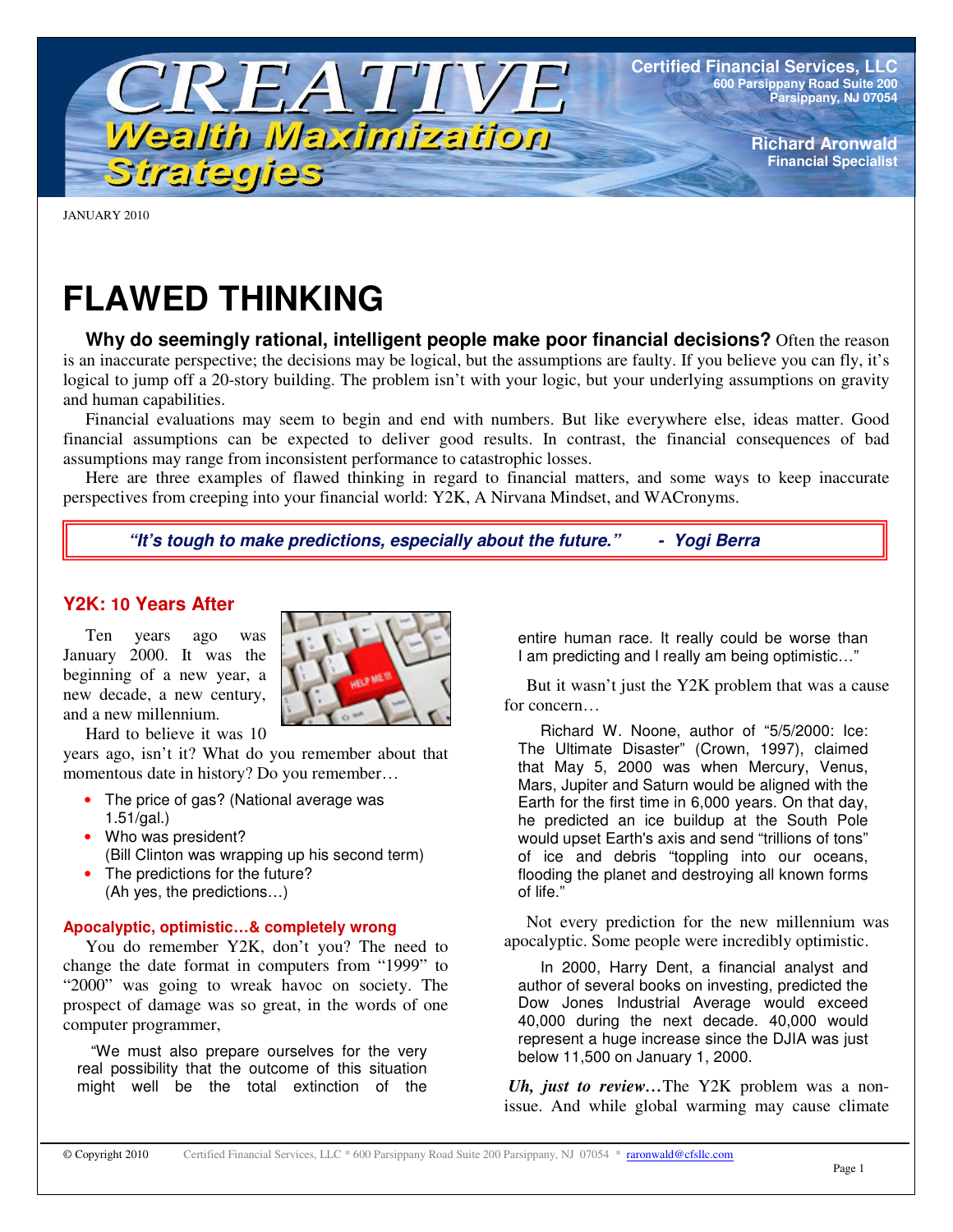

**Certified Financial Services, LLC 600 Parsippany Road Suite 200 Parsippany, NJ 07054**

JANUARY 2010

# **FLAWED THINKING**

**Why do seemingly rational, intelligent people make poor financial decisions?** Often the reason is an inaccurate perspective; the decisions may be logical, but the assumptions are faulty. If you believe you can fly, it's logical to jump off a 20-story building. The problem isn't with your logic, but your underlying assumptions on gravity and human capabilities.

Financial evaluations may seem to begin and end with numbers. But like everywhere else, ideas matter. Good financial assumptions can be expected to deliver good results. In contrast, the financial consequences of bad assumptions may range from inconsistent performance to catastrophic losses.

Here are three examples of flawed thinking in regard to financial matters, and some ways to keep inaccurate perspectives from creeping into your financial world: Y2K, A Nirvana Mindset, and WACronyms.

*"It's tough to make predictions, especially about the future." - Yogi Berra*

# **Y2K: 10 Years After**

Ten years ago was January 2000. It was the beginning of a new year, a new decade, a new century, and a new millennium.

Hard to believe it was 10

years ago, isn't it? What do you remember about that momentous date in history? Do you remember…

- The price of gas? (National average was 1.51/gal.)
- Who was president? (Bill Clinton was wrapping up his second term)
- The predictions for the future? (Ah yes, the predictions…)

## **Apocalyptic, optimistic…& completely wrong**

You do remember Y2K, don't you? The need to change the date format in computers from "1999" to "2000" was going to wreak havoc on society. The prospect of damage was so great, in the words of one computer programmer,

"We must also prepare ourselves for the very real possibility that the outcome of this situation might well be the total extinction of the entire human race. It really could be worse than I am predicting and I really am being optimistic…"

But it wasn't just the Y2K problem that was a cause for concern…

Richard W. Noone, author of "5/5/2000: Ice: The Ultimate Disaster" (Crown, 1997), claimed that May 5, 2000 was when Mercury, Venus, Mars, Jupiter and Saturn would be aligned with the Earth for the first time in 6,000 years. On that day, he predicted an ice buildup at the South Pole would upset Earth's axis and send "trillions of tons" of ice and debris "toppling into our oceans, flooding the planet and destroying all known forms of life."

Not every prediction for the new millennium was apocalyptic. Some people were incredibly optimistic.

In 2000, Harry Dent, a financial analyst and author of several books on investing, predicted the Dow Jones Industrial Average would exceed 40,000 during the next decade. 40,000 would represent a huge increase since the DJIA was just below 11,500 on January 1, 2000.

*Uh, just to review…*The Y2K problem was a nonissue. And while global warming may cause climate

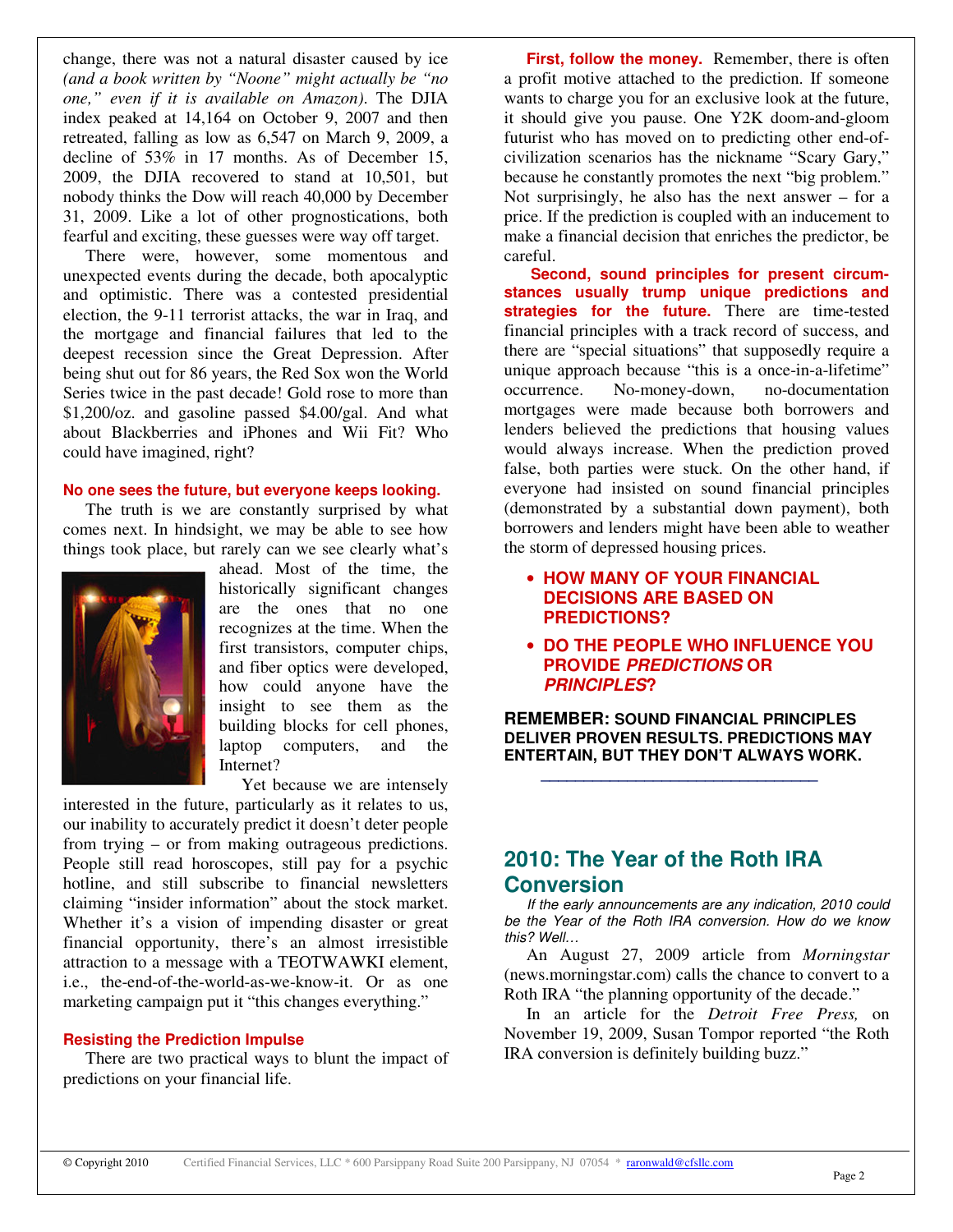change, there was not a natural disaster caused by ice *(and a book written by "Noone" might actually be "no one," even if it is available on Amazon)*. The DJIA index peaked at 14,164 on October 9, 2007 and then retreated, falling as low as 6,547 on March 9, 2009, a decline of 53% in 17 months. As of December 15, 2009, the DJIA recovered to stand at 10,501, but nobody thinks the Dow will reach 40,000 by December 31, 2009. Like a lot of other prognostications, both fearful and exciting, these guesses were way off target.

There were, however, some momentous and unexpected events during the decade, both apocalyptic and optimistic. There was a contested presidential election, the 9-11 terrorist attacks, the war in Iraq, and the mortgage and financial failures that led to the deepest recession since the Great Depression. After being shut out for 86 years, the Red Sox won the World Series twice in the past decade! Gold rose to more than \$1,200/oz. and gasoline passed \$4.00/gal. And what about Blackberries and iPhones and Wii Fit? Who could have imagined, right?

### **No one sees the future, but everyone keeps looking.**

The truth is we are constantly surprised by what comes next. In hindsight, we may be able to see how things took place, but rarely can we see clearly what's



ahead. Most of the time, the historically significant changes are the ones that no one recognizes at the time. When the first transistors, computer chips, and fiber optics were developed, how could anyone have the insight to see them as the building blocks for cell phones, laptop computers, and the Internet?

Yet because we are intensely

interested in the future, particularly as it relates to us, our inability to accurately predict it doesn't deter people from trying – or from making outrageous predictions. People still read horoscopes, still pay for a psychic hotline, and still subscribe to financial newsletters claiming "insider information" about the stock market. Whether it's a vision of impending disaster or great financial opportunity, there's an almost irresistible attraction to a message with a TEOTWAWKI element, i.e., the-end-of-the-world-as-we-know-it. Or as one marketing campaign put it "this changes everything."

## **Resisting the Prediction Impulse**

There are two practical ways to blunt the impact of predictions on your financial life.

**First, follow the money.** Remember, there is often a profit motive attached to the prediction. If someone wants to charge you for an exclusive look at the future, it should give you pause. One Y2K doom-and-gloom futurist who has moved on to predicting other end-ofcivilization scenarios has the nickname "Scary Gary," because he constantly promotes the next "big problem." Not surprisingly, he also has the next answer – for a price. If the prediction is coupled with an inducement to make a financial decision that enriches the predictor, be careful.

**Second, sound principles for present circumstances usually trump unique predictions and strategies for the future.** There are time-tested financial principles with a track record of success, and there are "special situations" that supposedly require a unique approach because "this is a once-in-a-lifetime" occurrence. No-money-down, no-documentation mortgages were made because both borrowers and lenders believed the predictions that housing values would always increase. When the prediction proved false, both parties were stuck. On the other hand, if everyone had insisted on sound financial principles (demonstrated by a substantial down payment), both borrowers and lenders might have been able to weather the storm of depressed housing prices.

- **HOW MANY OF YOUR FINANCIAL DECISIONS ARE BASED ON PREDICTIONS?**
- **DO THE PEOPLE WHO INFLUENCE YOU PROVIDE** *PREDICTIONS* **OR** *PRINCIPLES***?**

**REMEMBER: SOUND FINANCIAL PRINCIPLES DELIVER PROVEN RESULTS. PREDICTIONS MAY ENTERTAIN, BUT THEY DON'T ALWAYS WORK.**

**\_\_\_\_\_\_\_\_\_\_\_\_\_\_\_\_\_\_\_\_\_\_\_\_\_\_\_\_\_\_\_\_**

# **2010: The Year of the Roth IRA Conversion**

*If the early announcements are any indication, 2010 could be the Year of the Roth IRA conversion. How do we know this? Well…*

An August 27, 2009 article from *Morningstar* (news.morningstar.com) calls the chance to convert to a Roth IRA "the planning opportunity of the decade."

In an article for the *Detroit Free Press,* on November 19, 2009, Susan Tompor reported "the Roth IRA conversion is definitely building buzz."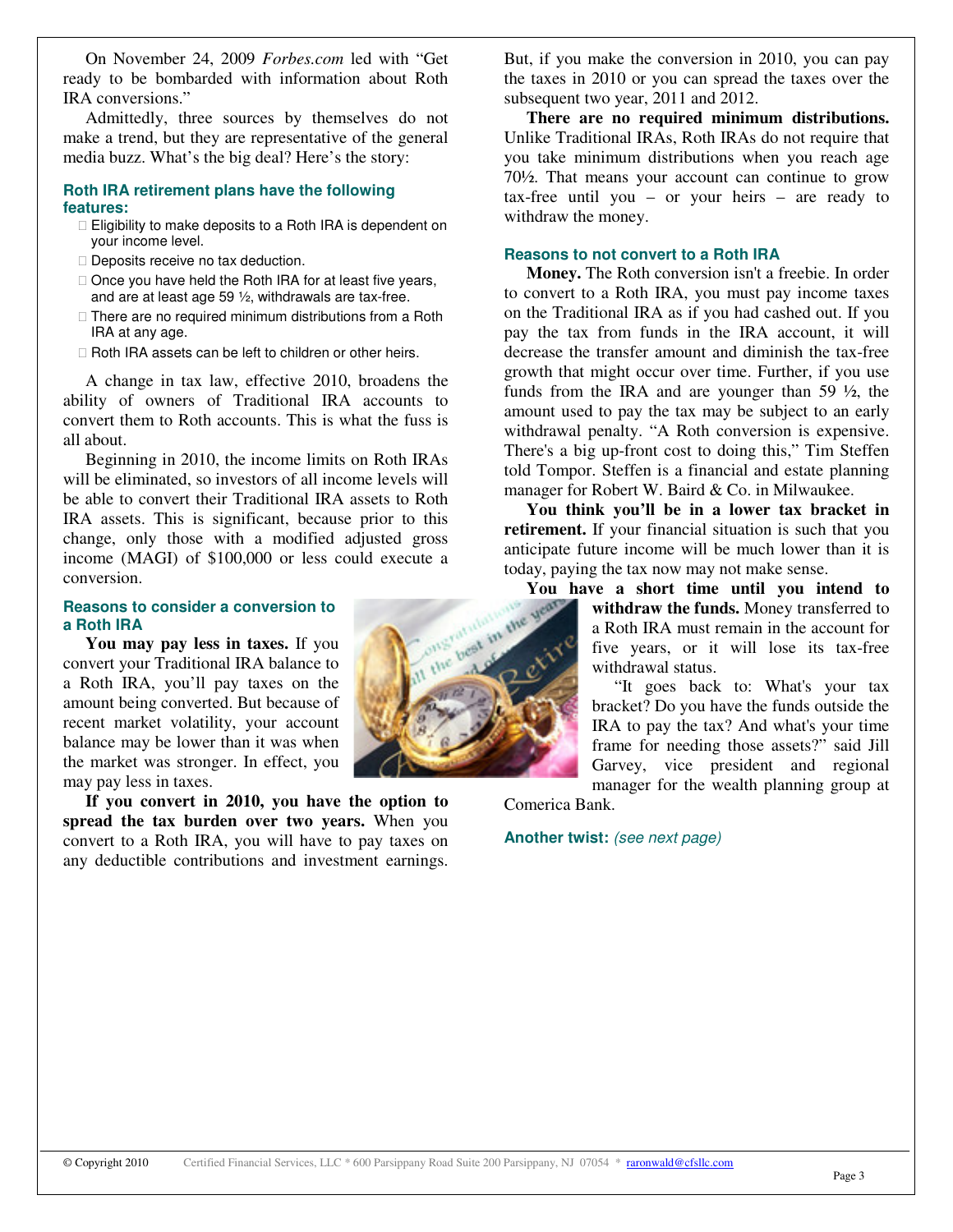On November 24, 2009 *Forbes.com* led with "Get ready to be bombarded with information about Roth IRA conversions."

Admittedly, three sources by themselves do not make a trend, but they are representative of the general media buzz. What's the big deal? Here's the story:

### **Roth IRA retirement plans have the following features:**

 Eligibility to make deposits to a Roth IRA is dependent on your income level.

Deposits receive no tax deduction.

 Once you have held the Roth IRA for at least five years, and are at least age 59 ½, withdrawals are tax-free. There are no required minimum distributions from a Roth

IRA at any age.

Roth IRA assets can be left to children or other heirs.

A change in tax law, effective 2010, broadens the ability of owners of Traditional IRA accounts to convert them to Roth accounts. This is what the fuss is all about.

Beginning in 2010, the income limits on Roth IRAs will be eliminated, so investors of all income levels will be able to convert their Traditional IRA assets to Roth IRA assets. This is significant, because prior to this change, only those with a modified adjusted gross income (MAGI) of \$100,000 or less could execute a conversion.

### **Reasons to consider a conversion to a Roth IRA**

**You may pay less in taxes.** If you convert your Traditional IRA balance to a Roth IRA, you'll pay taxes on the amount being converted. But because of recent market volatility, your account balance may be lower than it was when the market was stronger. In effect, you may pay less in taxes.

**If you convert in 2010, you have the option to spread the tax burden over two years.** When you convert to a Roth IRA, you will have to pay taxes on any deductible contributions and investment earnings.



But, if you make the conversion in 2010, you can pay the taxes in 2010 or you can spread the taxes over the subsequent two year, 2011 and 2012.

**There are no required minimum distributions.** Unlike Traditional IRAs, Roth IRAs do not require that you take minimum distributions when you reach age 70½. That means your account can continue to grow tax-free until you – or your heirs – are ready to withdraw the money.

#### **Reasons to not convert to a Roth IRA**

**Money.** The Roth conversion isn't a freebie. In order to convert to a Roth IRA, you must pay income taxes on the Traditional IRA as if you had cashed out. If you pay the tax from funds in the IRA account, it will decrease the transfer amount and diminish the tax-free growth that might occur over time. Further, if you use funds from the IRA and are younger than 59  $\frac{1}{2}$ , the amount used to pay the tax may be subject to an early withdrawal penalty. "A Roth conversion is expensive. There's a big up-front cost to doing this," Tim Steffen told Tompor. Steffen is a financial and estate planning manager for Robert W. Baird & Co. in Milwaukee.

**You think you'll be in a lower tax bracket in retirement.** If your financial situation is such that you anticipate future income will be much lower than it is today, paying the tax now may not make sense.

**You have a short time until you intend to withdraw the funds.** Money transferred to a Roth IRA must remain in the account for five years, or it will lose its tax-free withdrawal status.

"It goes back to: What's your tax bracket? Do you have the funds outside the IRA to pay the tax? And what's your time frame for needing those assets?" said Jill Garvey, vice president and regional manager for the wealth planning group at

Comerica Bank.

**Another twist:** *(see next page)*